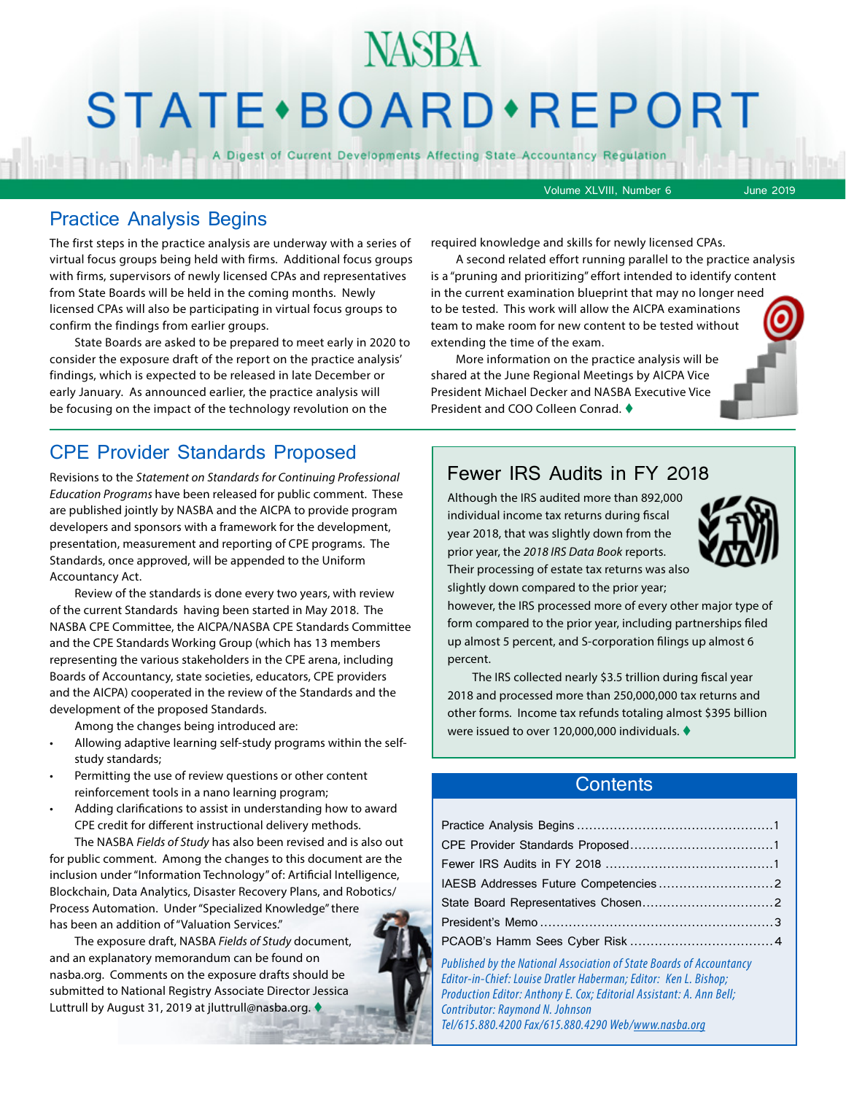## NASBA STATE · BOARD · REPORT

A Digest of Current Developments Affecting State Accountancy Regulation

Volume XLVIII, Number 6 June 2019

## Practice Analysis Begins

The first steps in the practice analysis are underway with a series of virtual focus groups being held with firms. Additional focus groups with firms, supervisors of newly licensed CPAs and representatives from State Boards will be held in the coming months. Newly licensed CPAs will also be participating in virtual focus groups to confirm the findings from earlier groups.

State Boards are asked to be prepared to meet early in 2020 to consider the exposure draft of the report on the practice analysis' findings, which is expected to be released in late December or early January. As announced earlier, the practice analysis will be focusing on the impact of the technology revolution on the

## CPE Provider Standards Proposed

Revisions to the *Statement on Standards for Continuing Professional Education Programs* have been released for public comment. These are published jointly by NASBA and the AICPA to provide program developers and sponsors with a framework for the development, presentation, measurement and reporting of CPE programs. The Standards, once approved, will be appended to the Uniform Accountancy Act.

Review of the standards is done every two years, with review of the current Standards having been started in May 2018. The NASBA CPE Committee, the AICPA/NASBA CPE Standards Committee and the CPE Standards Working Group (which has 13 members representing the various stakeholders in the CPE arena, including Boards of Accountancy, state societies, educators, CPE providers and the AICPA) cooperated in the review of the Standards and the development of the proposed Standards.

Among the changes being introduced are:

- Allowing adaptive learning self-study programs within the selfstudy standards;
- Permitting the use of review questions or other content reinforcement tools in a nano learning program;
- Adding clarifications to assist in understanding how to award CPE credit for different instructional delivery methods.

The NASBA *Fields of Study* has also been revised and is also out for public comment. Among the changes to this document are the inclusion under "Information Technology" of: Artificial Intelligence, Blockchain, Data Analytics, Disaster Recovery Plans, and Robotics/ Process Automation. Under "Specialized Knowledge" there has been an addition of "Valuation Services."

The exposure draft, NASBA *Fields of Study* document, and an explanatory memorandum can be found on nasba.org. Comments on the exposure drafts should be submitted to National Registry Associate Director Jessica Luttrull by August 31, 2019 at jluttrull@nasba.org.

required knowledge and skills for newly licensed CPAs.

A second related effort running parallel to the practice analysis is a "pruning and prioritizing" effort intended to identify content in the current examination blueprint that may no longer need to be tested. This work will allow the AICPA examinations team to make room for new content to be tested without extending the time of the exam.

More information on the practice analysis will be shared at the June Regional Meetings by AICPA Vice President Michael Decker and NASBA Executive Vice President and COO Colleen Conrad. ♦

Fewer IRS Audits in FY 2018

Although the IRS audited more than 892,000 individual income tax returns during fiscal year 2018, that was slightly down from the prior year, the *2018 IRS Data Book* reports.



slightly down compared to the prior year; however, the IRS processed more of every other major type of form compared to the prior year, including partnerships filed up almost 5 percent, and S-corporation filings up almost 6 percent.

The IRS collected nearly \$3.5 trillion during fiscal year 2018 and processed more than 250,000,000 tax returns and other forms. Income tax refunds totaling almost \$395 billion were issued to over 120,000,000 individuals.  $\blacklozenge$ 

### **Contents**

*Published by the National Association of State Boards of Accountancy Editor-in-Chief: Louise Dratler Haberman; Editor: Ken L. Bishop; Production Editor: Anthony E. Cox; Editorial Assistant: A. Ann Bell; Contributor: Raymond N. Johnson Tel/615.880.4200 Fax/615.880.4290 Web/www.nasba.org*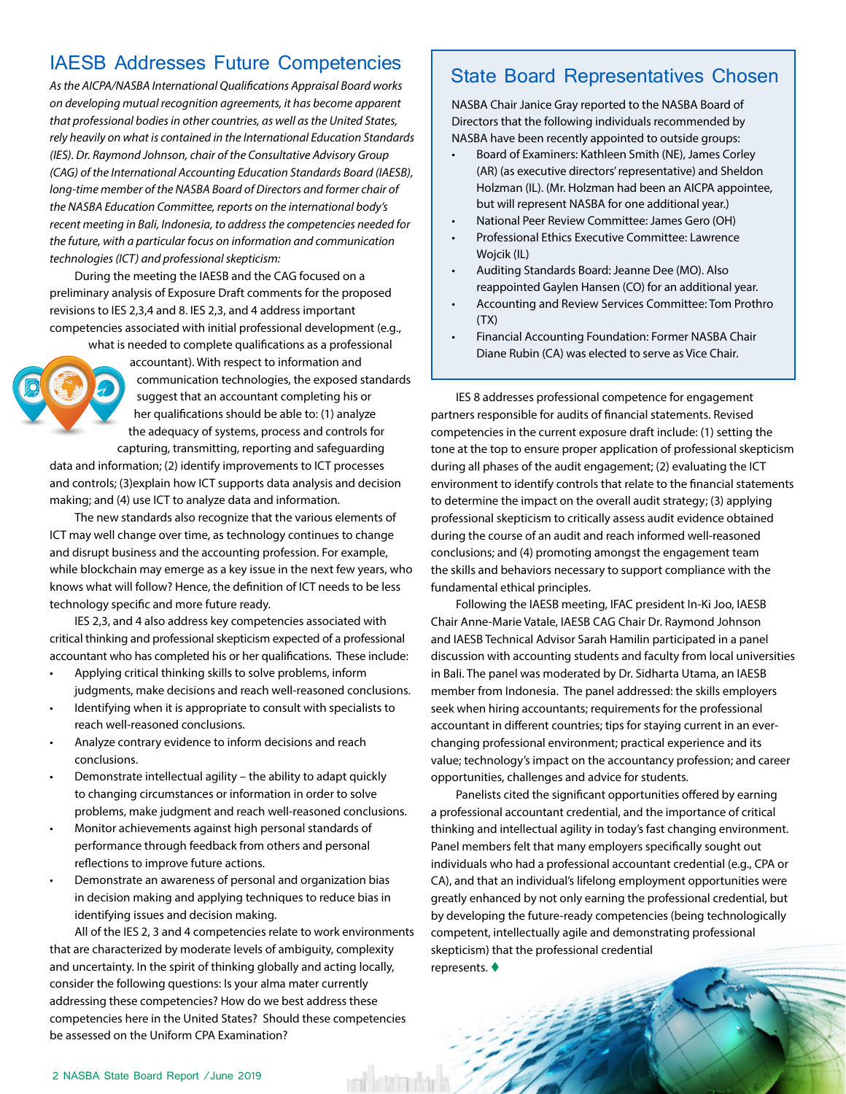## <span id="page-1-0"></span>IAESB Addresses Future Competencies | State Board Representatives Chosen

*As the AICPA/NASBA International Qualifications Appraisal Board works on developing mutual recognition agreements, it has become apparent that professional bodies in other countries, as well as the United States, rely heavily on what is contained in the International Education Standards (IES). Dr. Raymond Johnson, chair of the Consultative Advisory Group (CAG) of the International Accounting Education Standards Board (IAESB), long-time member of the NASBA Board of Directors and former chair of the NASBA Education Committee, reports on the international body's recent meeting in Bali, Indonesia, to address the competencies needed for the future, with a particular focus on information and communication technologies (ICT) and professional skepticism:* 

During the meeting the IAESB and the CAG focused on a preliminary analysis of Exposure Draft comments for the proposed revisions to IES 2,3,4 and 8. IES 2,3, and 4 address important competencies associated with initial professional development (e.g.,

what is needed to complete qualifications as a professional accountant). With respect to information and communication technologies, the exposed standards suggest that an accountant completing his or her qualifications should be able to: (1) analyze the adequacy of systems, process and controls for capturing, transmitting, reporting and safeguarding

data and information; (2) identify improvements to ICT processes and controls; (3)explain how ICT supports data analysis and decision making; and (4) use ICT to analyze data and information.

The new standards also recognize that the various elements of ICT may well change over time, as technology continues to change and disrupt business and the accounting profession. For example, while blockchain may emerge as a key issue in the next few years, who knows what will follow? Hence, the definition of ICT needs to be less technology specific and more future ready.

IES 2,3, and 4 also address key competencies associated with critical thinking and professional skepticism expected of a professional accountant who has completed his or her qualifications. These include:

- Applying critical thinking skills to solve problems, inform judgments, make decisions and reach well-reasoned conclusions.
- Identifying when it is appropriate to consult with specialists to reach well-reasoned conclusions.
- Analyze contrary evidence to inform decisions and reach conclusions.
- Demonstrate intellectual agility the ability to adapt quickly to changing circumstances or information in order to solve problems, make judgment and reach well-reasoned conclusions.
- Monitor achievements against high personal standards of performance through feedback from others and personal reflections to improve future actions.
- Demonstrate an awareness of personal and organization bias in decision making and applying techniques to reduce bias in identifying issues and decision making.

All of the IES 2, 3 and 4 competencies relate to work environments that are characterized by moderate levels of ambiguity, complexity and uncertainty. In the spirit of thinking globally and acting locally, consider the following questions: Is your alma mater currently addressing these competencies? How do we best address these competencies here in the United States? Should these competencies be assessed on the Uniform CPA Examination?

rah kilalan<sup>t</sup>an

NASBA Chair Janice Gray reported to the NASBA Board of Directors that the following individuals recommended by NASBA have been recently appointed to outside groups:

- Board of Examiners: Kathleen Smith (NE), James Corley (AR) (as executive directors' representative) and Sheldon Holzman (IL). (Mr. Holzman had been an AICPA appointee, but will represent NASBA for one additional year.)
- National Peer Review Committee: James Gero (OH)
- Professional Ethics Executive Committee: Lawrence Wojcik (IL)
- Auditing Standards Board: Jeanne Dee (MO). Also reappointed Gaylen Hansen (CO) for an additional year.
- Accounting and Review Services Committee: Tom Prothro  $(TX)$
- Financial Accounting Foundation: Former NASBA Chair Diane Rubin (CA) was elected to serve as Vice Chair.

IES 8 addresses professional competence for engagement partners responsible for audits of financial statements. Revised competencies in the current exposure draft include: (1) setting the tone at the top to ensure proper application of professional skepticism during all phases of the audit engagement; (2) evaluating the ICT environment to identify controls that relate to the financial statements to determine the impact on the overall audit strategy; (3) applying professional skepticism to critically assess audit evidence obtained during the course of an audit and reach informed well-reasoned conclusions; and (4) promoting amongst the engagement team the skills and behaviors necessary to support compliance with the fundamental ethical principles.

Following the IAESB meeting, IFAC president In-Ki Joo, IAESB Chair Anne-Marie Vatale, IAESB CAG Chair Dr. Raymond Johnson and IAESB Technical Advisor Sarah Hamilin participated in a panel discussion with accounting students and faculty from local universities in Bali. The panel was moderated by Dr. Sidharta Utama, an IAESB member from Indonesia. The panel addressed: the skills employers seek when hiring accountants; requirements for the professional accountant in different countries; tips for staying current in an everchanging professional environment; practical experience and its value; technology's impact on the accountancy profession; and career opportunities, challenges and advice for students.

Panelists cited the significant opportunities offered by earning a professional accountant credential, and the importance of critical thinking and intellectual agility in today's fast changing environment. Panel members felt that many employers specifically sought out individuals who had a professional accountant credential (e.g., CPA or CA), and that an individual's lifelong employment opportunities were greatly enhanced by not only earning the professional credential, but by developing the future-ready competencies (being technologically competent, intellectually agile and demonstrating professional skepticism) that the professional credential represents.  $\blacklozenge$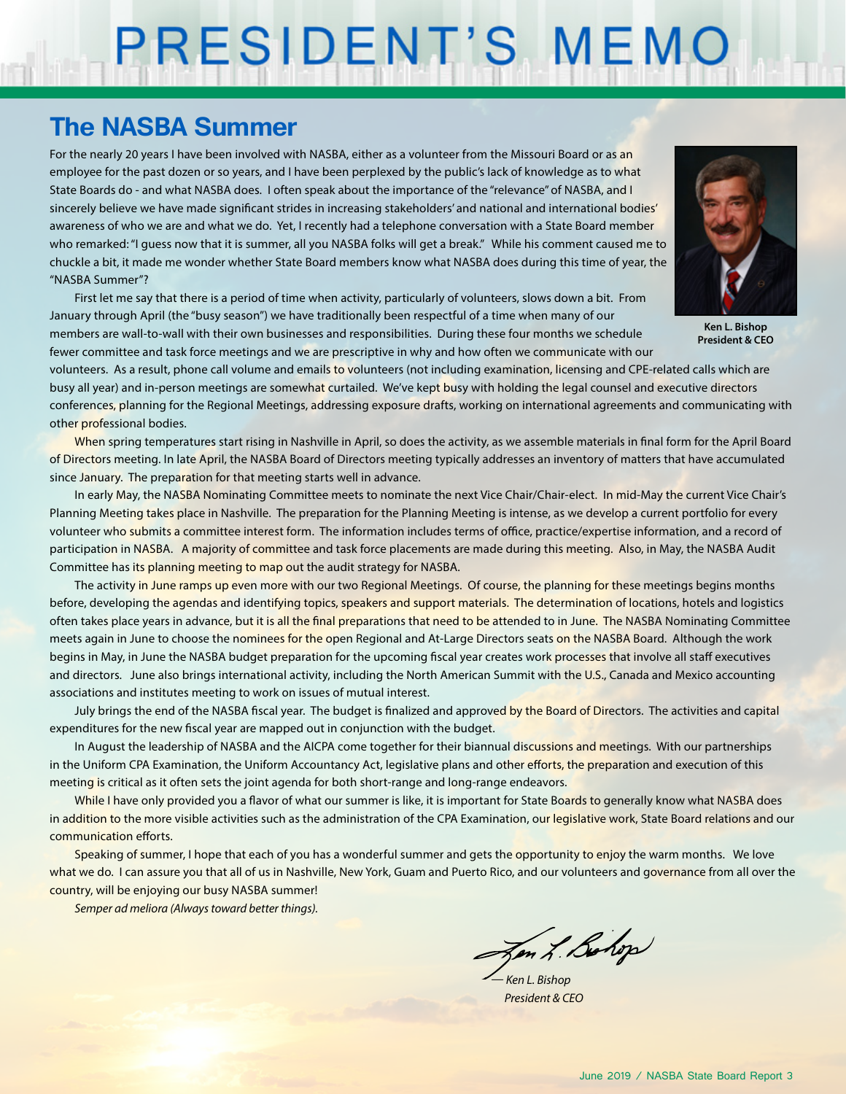# PRESIDENT'S MEMO

## **The NASBA Summer**

For the nearly 20 years I have been involved with NASBA, either as a volunteer from the Missouri Board or as an employee for the past dozen or so years, and I have been perplexed by the public's lack of knowledge as to what State Boards do - and what NASBA does. I often speak about the importance of the "relevance" of NASBA, and I sincerely believe we have made significant strides in increasing stakeholders' and national and international bodies' awareness of who we are and what we do. Yet, I recently had a telephone conversation with a State Board member who remarked: "I guess now that it is summer, all you NASBA folks will get a break." While his comment caused me to chuckle a bit, it made me wonder whether State Board members know what NASBA does during this time of year, the "NASBA Summer"?

First let me say that there is a period of time when activity, particularly of volunteers, slows down a bit. From January through April (the "busy season") we have traditionally been respectful of a time when many of our members are wall-to-wall with their own businesses and responsibilities. During these four months we schedule fewer committee and task force meetings and we are prescriptive in why and how often we communicate with our



**Ken L. Bishop President & CEO**

volunteers. As a result, phone call volume and emails to volunteers (not including examination, licensing and CPE-related calls which are busy all year) and in-person meetings are somewhat curtailed. We've kept busy with holding the legal counsel and executive directors conferences, planning for the Regional Meetings, addressing exposure drafts, working on international agreements and communicating with other professional bodies.

When spring temperatures start rising in Nashville in April, so does the activity, as we assemble materials in final form for the April Board of Directors meeting. In late April, the NASBA Board of Directors meeting typically addresses an inventory of matters that have accumulated since January. The preparation for that meeting starts well in advance.

In early May, the NASBA Nominating Committee meets to nominate the next Vice Chair/Chair-elect. In mid-May the current Vice Chair's Planning Meeting takes place in Nashville. The preparation for the Planning Meeting is intense, as we develop a current portfolio for every volunteer who submits a committee interest form. The information includes terms of office, practice/expertise information, and a record of participation in NASBA. A majority of committee and task force placements are made during this meeting. Also, in May, the NASBA Audit Committee has its planning meeting to map out the audit strategy for NASBA.

The activity in June ramps up even more with our two Regional Meetings. Of course, the planning for these meetings begins months before, developing the agendas and identifying topics, speakers and support materials. The determination of locations, hotels and logistics often takes place years in advance, but it is all the final preparations that need to be attended to in June. The NASBA Nominating Committee meets again in June to choose the nominees for the open Regional and At-Large Directors seats on the NASBA Board. Although the work begins in May, in June the NASBA budget preparation for the upcoming fiscal year creates work processes that involve all staff executives and directors. June also brings international activity, including the North American Summit with the U.S., Canada and Mexico accounting associations and institutes meeting to work on issues of mutual interest.

July brings the end of the NASBA fiscal year. The budget is finalized and approved by the Board of Directors. The activities and capital expenditures for the new fiscal year are mapped out in conjunction with the budget.

In August the leadership of NASBA and the AICPA come together for their biannual discussions and meetings. With our partnerships in the Uniform CPA Examination, the Uniform Accountancy Act, legislative plans and other efforts, the preparation and execution of this meeting is critical as it often sets the joint agenda for both short-range and long-range endeavors.

While I have only provided you a flavor of what our summer is like, it is important for State Boards to generally know what NASBA does in addition to the more visible activities such as the administration of the CPA Examination, our legislative work, State Board relations and our communication efforts.

Speaking of summer, I hope that each of you has a wonderful summer and gets the opportunity to enjoy the warm months. We love what we do. I can assure you that all of us in Nashville, New York, Guam and Puerto Rico, and our volunteers and governance from all over the country, will be enjoying our busy NASBA summer!

*Semper ad meliora (Always toward better things).*

Jen L. Bolop

*— Ken L. Bishop President & CEO*